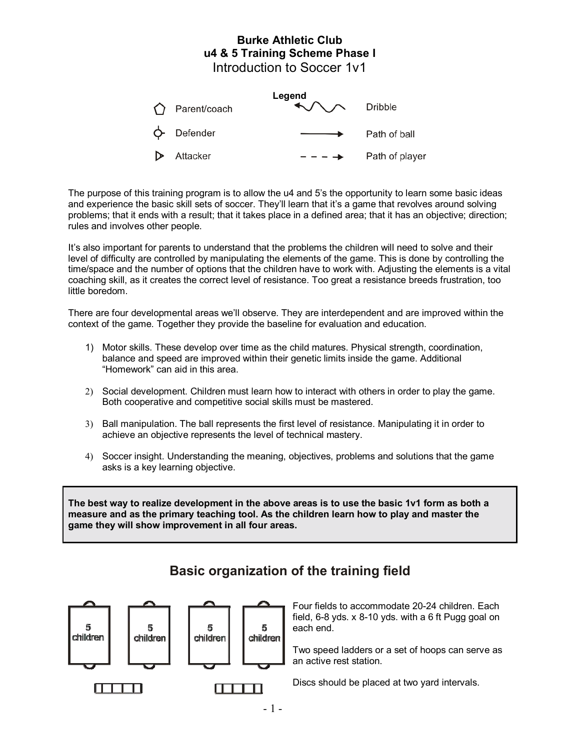# **Burke Athletic Club u4 & 5 Training Scheme Phase I** Introduction to Soccer 1v1

| $\bigcap$ Parent/coach | Legend<br>$\bigwedge \bigwedge$ Dribble |                |
|------------------------|-----------------------------------------|----------------|
| $\phi$ - Defender      |                                         | Path of ball   |
| D Attacker             | $--- \rightarrow$                       | Path of player |

The purpose of this training program is to allow the u4 and 5's the opportunity to learn some basic ideas and experience the basic skill sets of soccer. They'll learn that it's a game that revolves around solving problems; that it ends with a result; that it takes place in a defined area; that it has an objective; direction; rules and involves other people.

It's also important for parents to understand that the problems the children will need to solve and their level of difficulty are controlled by manipulating the elements of the game. This is done by controlling the time/space and the number of options that the children have to work with. Adjusting the elements is a vital coaching skill, as it creates the correct level of resistance. Too great a resistance breeds frustration, too little boredom.

There are four developmental areas we'll observe. They are interdependent and are improved within the context of the game. Together they provide the baseline for evaluation and education.

- 1) Motor skills. These develop over time as the child matures. Physical strength, coordination, balance and speed are improved within their genetic limits inside the game. Additional "Homework" can aid in this area.
- 2) Social development. Children must learn how to interact with others in order to play the game. Both cooperative and competitive social skills must be mastered.
- 3) Ball manipulation. The ball represents the first level of resistance. Manipulating it in order to achieve an objective represents the level of technical mastery.
- 4) Soccer insight. Understanding the meaning, objectives, problems and solutions that the game asks is a key learning objective.

**The best way to realize development in the above areas is to use the basic 1v1 form as both a measure and as the primary teaching tool. As the children learn how to play and master the game they will show improvement in all four areas.** 



# **Basic organization of the training field**

Four fields to accommodate 20-24 children. Each field, 6-8 yds. x 8-10 yds. with a 6 ft Pugg goal on each end.

Two speed ladders or a set of hoops can serve as an active rest station.

Discs should be placed at two yard intervals.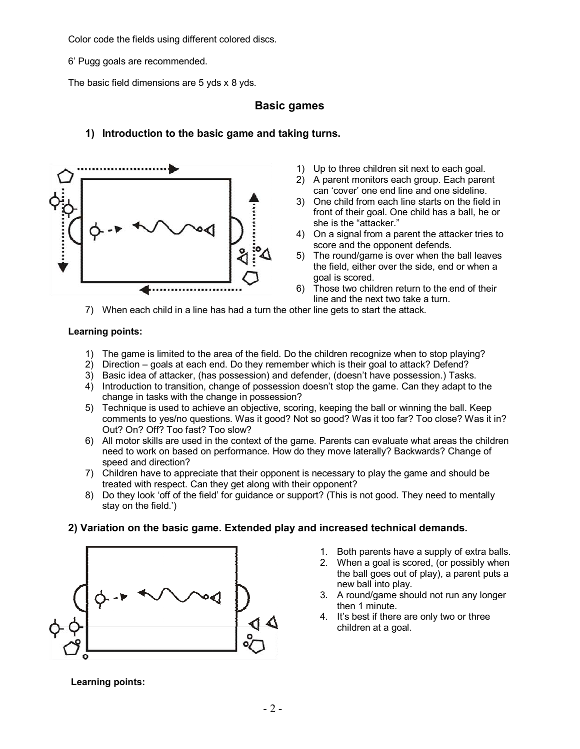Color code the fields using different colored discs.

6í Pugg goals are recommended.

The basic field dimensions are 5 yds x 8 yds.

# **Basic games**

# **1) Introduction to the basic game and taking turns.**



- 1) Up to three children sit next to each goal.
- 2) A parent monitors each group. Each parent can 'cover' one end line and one sideline.
- 3) One child from each line starts on the field in front of their goal. One child has a ball, he or she is the "attacker."
- 4) On a signal from a parent the attacker tries to score and the opponent defends.
- 5) The round/game is over when the ball leaves the field, either over the side, end or when a goal is scored.
- 6) Those two children return to the end of their line and the next two take a turn.
- 7) When each child in a line has had a turn the other line gets to start the attack.

#### **Learning points:**

- 1) The game is limited to the area of the field. Do the children recognize when to stop playing?
- 2) Direction goals at each end. Do they remember which is their goal to attack? Defend?
- 3) Basic idea of attacker, (has possession) and defender, (doesnít have possession.) Tasks.
- 4) Introduction to transition, change of possession doesnít stop the game. Can they adapt to the change in tasks with the change in possession?
- 5) Technique is used to achieve an objective, scoring, keeping the ball or winning the ball. Keep comments to yes/no questions. Was it good? Not so good? Was it too far? Too close? Was it in? Out? On? Off? Too fast? Too slow?
- 6) All motor skills are used in the context of the game. Parents can evaluate what areas the children need to work on based on performance. How do they move laterally? Backwards? Change of speed and direction?
- 7) Children have to appreciate that their opponent is necessary to play the game and should be treated with respect. Can they get along with their opponent?
- 8) Do they look 'off of the field' for guidance or support? (This is not good. They need to mentally stay on the field. $i$ )

### **2) Variation on the basic game. Extended play and increased technical demands.**



- 1. Both parents have a supply of extra balls.
- 2. When a goal is scored, (or possibly when the ball goes out of play), a parent puts a new ball into play.
- 3. A round/game should not run any longer then 1 minute.
- 4. Itís best if there are only two or three children at a goal.

**Learning points:**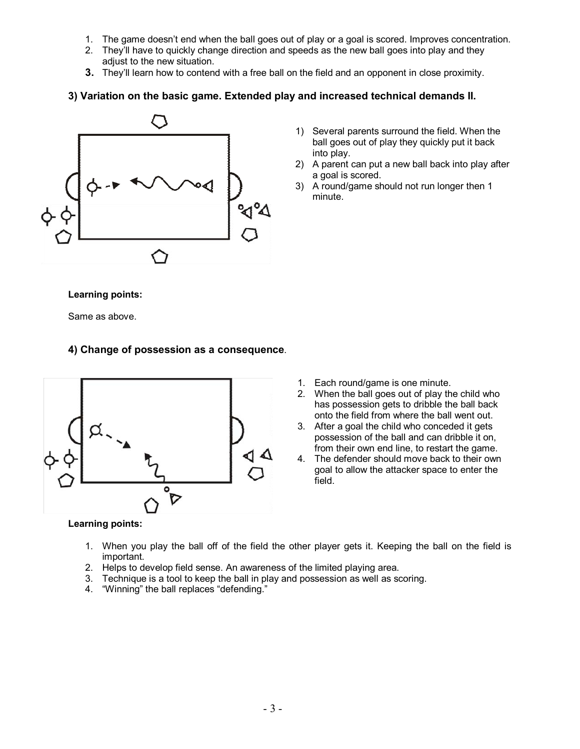- 1. The game doesnít end when the ball goes out of play or a goal is scored. Improves concentration.
- 2. Theyíll have to quickly change direction and speeds as the new ball goes into play and they adjust to the new situation.
- **3.** Theyíll learn how to contend with a free ball on the field and an opponent in close proximity.

### **3) Variation on the basic game. Extended play and increased technical demands II.**



- 1) Several parents surround the field. When the ball goes out of play they quickly put it back into play.
- 2) A parent can put a new ball back into play after a goal is scored.
- 3) A round/game should not run longer then 1 minute.

**Learning points:** 

Same as above.

### **4) Change of possession as a consequence**.



- 1. Each round/game is one minute.
- 2. When the ball goes out of play the child who has possession gets to dribble the ball back onto the field from where the ball went out.
- 3. After a goal the child who conceded it gets possession of the ball and can dribble it on, from their own end line, to restart the game.
- 4. The defender should move back to their own goal to allow the attacker space to enter the field.

#### **Learning points:**

- 1. When you play the ball off of the field the other player gets it. Keeping the ball on the field is important.
- 2. Helps to develop field sense. An awareness of the limited playing area.
- 3. Technique is a tool to keep the ball in play and possession as well as scoring.
- 4. "Winning" the ball replaces "defending."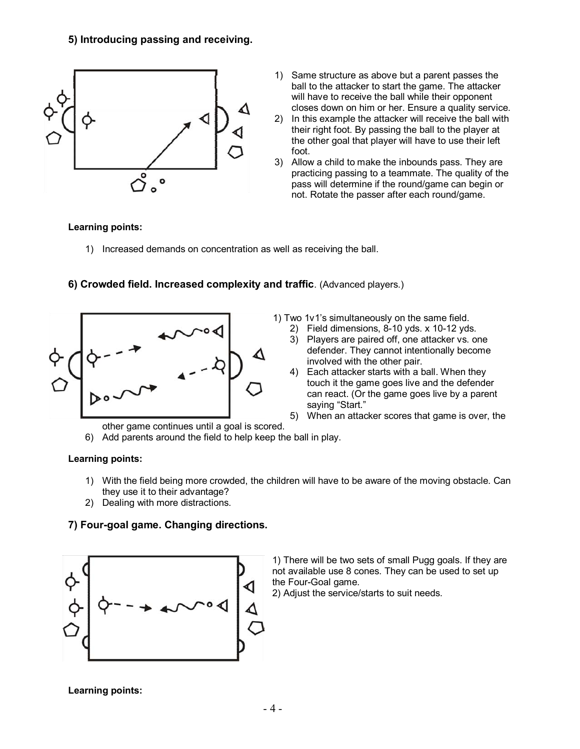

- 1) Same structure as above but a parent passes the ball to the attacker to start the game. The attacker will have to receive the ball while their opponent closes down on him or her. Ensure a quality service.
- 2) In this example the attacker will receive the ball with their right foot. By passing the ball to the player at the other goal that player will have to use their left foot.
- 3) Allow a child to make the inbounds pass. They are practicing passing to a teammate. The quality of the pass will determine if the round/game can begin or not. Rotate the passer after each round/game.

# **Learning points:**

1) Increased demands on concentration as well as receiving the ball.



**6) Crowded field. Increased complexity and traffic**. (Advanced players.)

1) Two 1v1ís simultaneously on the same field.

- 2) Field dimensions, 8-10 yds. x 10-12 yds.
- 3) Players are paired off, one attacker vs. one defender. They cannot intentionally become involved with the other pair.
- 4) Each attacker starts with a ball. When they touch it the game goes live and the defender can react. (Or the game goes live by a parent saying "Start."
- 5) When an attacker scores that game is over, the
- other game continues until a goal is scored.
- 6) Add parents around the field to help keep the ball in play.

### **Learning points:**

- 1) With the field being more crowded, the children will have to be aware of the moving obstacle. Can they use it to their advantage?
- 2) Dealing with more distractions.

# **7) Four-goal game. Changing directions.**



1) There will be two sets of small Pugg goals. If they are not available use 8 cones. They can be used to set up the Four-Goal game.

2) Adjust the service/starts to suit needs.

**Learning points:**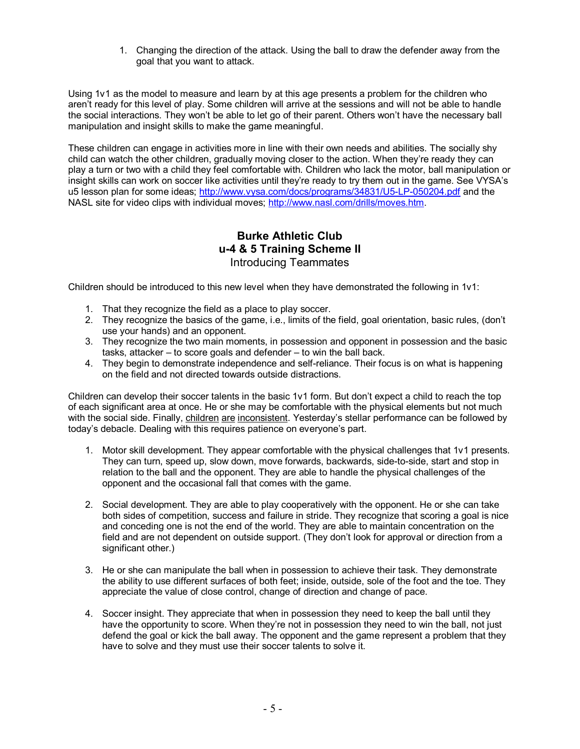1. Changing the direction of the attack. Using the ball to draw the defender away from the goal that you want to attack.

Using 1v1 as the model to measure and learn by at this age presents a problem for the children who arenít ready for this level of play. Some children will arrive at the sessions and will not be able to handle the social interactions. They won't be able to let go of their parent. Others won't have the necessary ball manipulation and insight skills to make the game meaningful.

These children can engage in activities more in line with their own needs and abilities. The socially shy child can watch the other children, gradually moving closer to the action. When they're ready they can play a turn or two with a child they feel comfortable with. Children who lack the motor, ball manipulation or insight skills can work on soccer like activities until they're ready to try them out in the game. See VYSA's u5 lesson plan for some ideas; http://www.vysa.com/docs/programs/34831/U5-LP-050204.pdf and the NASL site for video clips with individual moves; http://www.nasl.com/drills/moves.htm.

# **Burke Athletic Club u-4 & 5 Training Scheme II**  Introducing Teammates

Children should be introduced to this new level when they have demonstrated the following in 1v1:

- 1. That they recognize the field as a place to play soccer.
- 2. They recognize the basics of the game, i.e., limits of the field, goal orientation, basic rules, (donít use your hands) and an opponent.
- 3. They recognize the two main moments, in possession and opponent in possession and the basic tasks, attacker  $-$  to score goals and defender  $-$  to win the ball back.
- 4. They begin to demonstrate independence and self-reliance. Their focus is on what is happening on the field and not directed towards outside distractions.

Children can develop their soccer talents in the basic 1v1 form. But don't expect a child to reach the top of each significant area at once. He or she may be comfortable with the physical elements but not much with the social side. Finally, children are inconsistent. Yesterdayís stellar performance can be followed by today's debacle. Dealing with this requires patience on everyone's part.

- 1. Motor skill development. They appear comfortable with the physical challenges that 1v1 presents. They can turn, speed up, slow down, move forwards, backwards, side-to-side, start and stop in relation to the ball and the opponent. They are able to handle the physical challenges of the opponent and the occasional fall that comes with the game.
- 2. Social development. They are able to play cooperatively with the opponent. He or she can take both sides of competition, success and failure in stride. They recognize that scoring a goal is nice and conceding one is not the end of the world. They are able to maintain concentration on the field and are not dependent on outside support. (They don't look for approval or direction from a significant other.)
- 3. He or she can manipulate the ball when in possession to achieve their task. They demonstrate the ability to use different surfaces of both feet; inside, outside, sole of the foot and the toe. They appreciate the value of close control, change of direction and change of pace.
- 4. Soccer insight. They appreciate that when in possession they need to keep the ball until they have the opportunity to score. When they're not in possession they need to win the ball, not just defend the goal or kick the ball away. The opponent and the game represent a problem that they have to solve and they must use their soccer talents to solve it.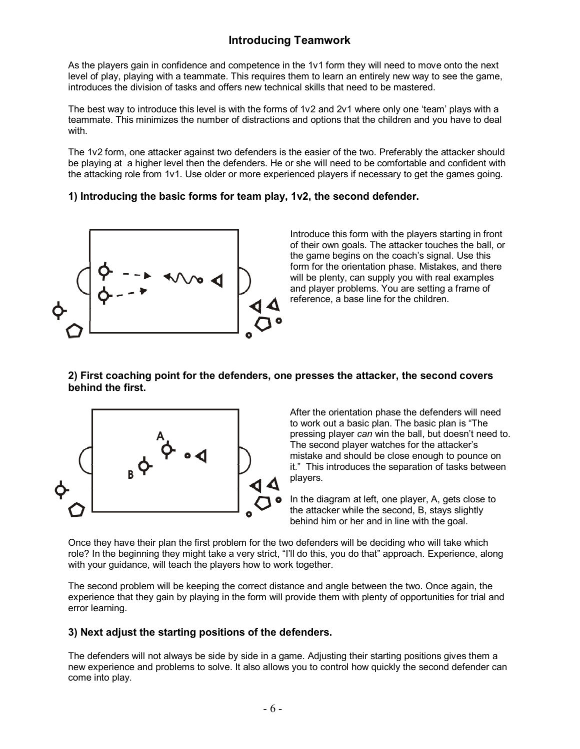# **Introducing Teamwork**

As the players gain in confidence and competence in the 1v1 form they will need to move onto the next level of play, playing with a teammate. This requires them to learn an entirely new way to see the game, introduces the division of tasks and offers new technical skills that need to be mastered.

The best way to introduce this level is with the forms of  $1v2$  and  $2v1$  where only one 'team' plays with a teammate. This minimizes the number of distractions and options that the children and you have to deal with.

The 1v2 form, one attacker against two defenders is the easier of the two. Preferably the attacker should be playing at a higher level then the defenders. He or she will need to be comfortable and confident with the attacking role from 1v1. Use older or more experienced players if necessary to get the games going.

# **1) Introducing the basic forms for team play, 1v2, the second defender.**



Introduce this form with the players starting in front of their own goals. The attacker touches the ball, or the game begins on the coach's signal. Use this form for the orientation phase. Mistakes, and there will be plenty, can supply you with real examples and player problems. You are setting a frame of reference, a base line for the children.

### **2) First coaching point for the defenders, one presses the attacker, the second covers behind the first.**



After the orientation phase the defenders will need to work out a basic plan. The basic plan is "The pressing player *can* win the ball, but doesnít need to. The second player watches for the attacker's mistake and should be close enough to pounce on it." This introduces the separation of tasks between players.

In the diagram at left, one player, A, gets close to the attacker while the second, B, stays slightly behind him or her and in line with the goal.

Once they have their plan the first problem for the two defenders will be deciding who will take which role? In the beginning they might take a very strict, "I'll do this, you do that" approach. Experience, along with your quidance, will teach the players how to work together.

The second problem will be keeping the correct distance and angle between the two. Once again, the experience that they gain by playing in the form will provide them with plenty of opportunities for trial and error learning.

# **3) Next adjust the starting positions of the defenders.**

The defenders will not always be side by side in a game. Adjusting their starting positions gives them a new experience and problems to solve. It also allows you to control how quickly the second defender can come into play.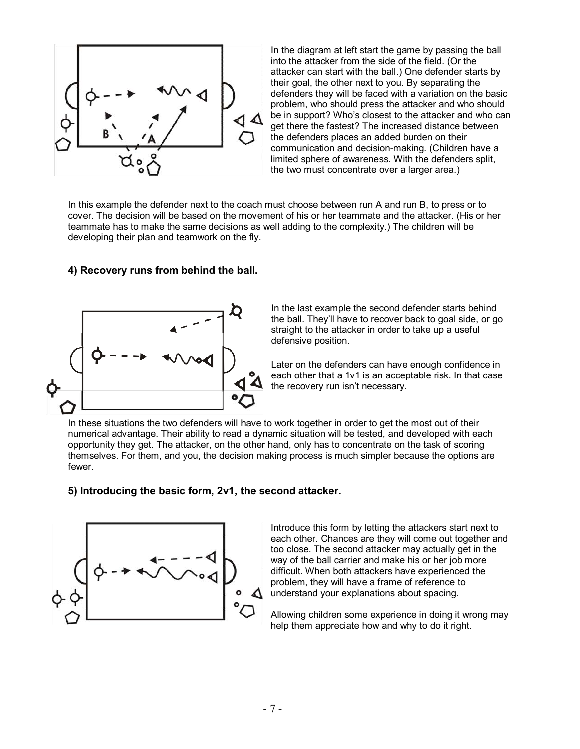

In the diagram at left start the game by passing the ball into the attacker from the side of the field. (Or the attacker can start with the ball.) One defender starts by their goal, the other next to you. By separating the defenders they will be faced with a variation on the basic problem, who should press the attacker and who should be in support? Who's closest to the attacker and who can get there the fastest? The increased distance between the defenders places an added burden on their communication and decision-making. (Children have a limited sphere of awareness. With the defenders split, the two must concentrate over a larger area.)

In this example the defender next to the coach must choose between run A and run B, to press or to cover. The decision will be based on the movement of his or her teammate and the attacker. (His or her teammate has to make the same decisions as well adding to the complexity.) The children will be developing their plan and teamwork on the fly.

### **4) Recovery runs from behind the ball.**



In the last example the second defender starts behind the ball. Theyíll have to recover back to goal side, or go straight to the attacker in order to take up a useful defensive position.

Later on the defenders can have enough confidence in each other that a 1v1 is an acceptable risk. In that case the recovery run isn't necessary.

In these situations the two defenders will have to work together in order to get the most out of their numerical advantage. Their ability to read a dynamic situation will be tested, and developed with each opportunity they get. The attacker, on the other hand, only has to concentrate on the task of scoring themselves. For them, and you, the decision making process is much simpler because the options are fewer.

### **5) Introducing the basic form, 2v1, the second attacker.**



Introduce this form by letting the attackers start next to each other. Chances are they will come out together and too close. The second attacker may actually get in the way of the ball carrier and make his or her job more difficult. When both attackers have experienced the problem, they will have a frame of reference to understand your explanations about spacing.

Allowing children some experience in doing it wrong may help them appreciate how and why to do it right.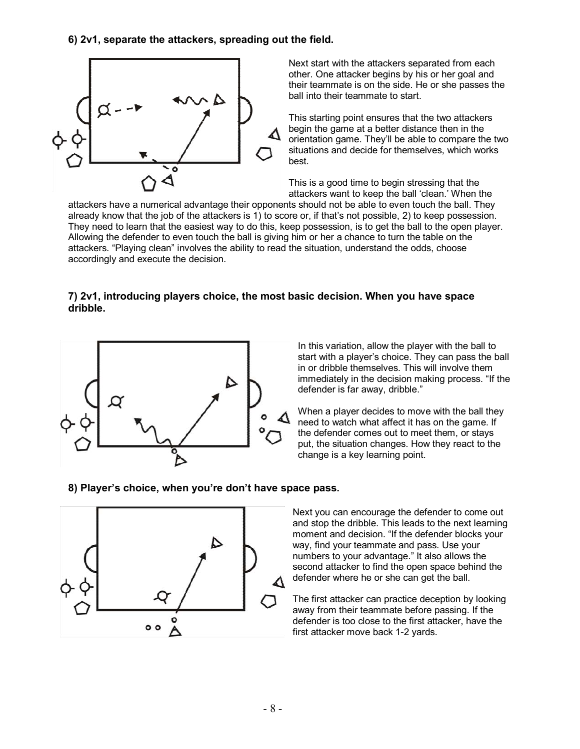**6) 2v1, separate the attackers, spreading out the field.** 



Next start with the attackers separated from each other. One attacker begins by his or her goal and their teammate is on the side. He or she passes the ball into their teammate to start.

This starting point ensures that the two attackers begin the game at a better distance then in the orientation game. Theyíll be able to compare the two situations and decide for themselves, which works best.

This is a good time to begin stressing that the attackers want to keep the ball 'clean.' When the

attackers have a numerical advantage their opponents should not be able to even touch the ball. They already know that the job of the attackers is 1) to score or, if that's not possible, 2) to keep possession. They need to learn that the easiest way to do this, keep possession, is to get the ball to the open player. Allowing the defender to even touch the ball is giving him or her a chance to turn the table on the attackers. "Playing clean" involves the ability to read the situation, understand the odds, choose accordingly and execute the decision.

### **7) 2v1, introducing players choice, the most basic decision. When you have space dribble.**



In this variation, allow the player with the ball to start with a player's choice. They can pass the ball in or dribble themselves. This will involve them immediately in the decision making process. "If the defender is far away, dribble."

When a player decides to move with the ball they need to watch what affect it has on the game. If the defender comes out to meet them, or stays put, the situation changes. How they react to the change is a key learning point.

# **8) Playerís choice, when youíre donít have space pass.**



Next you can encourage the defender to come out and stop the dribble. This leads to the next learning moment and decision. "If the defender blocks your way, find your teammate and pass. Use your numbers to your advantage." It also allows the second attacker to find the open space behind the defender where he or she can get the ball.

The first attacker can practice deception by looking away from their teammate before passing. If the defender is too close to the first attacker, have the first attacker move back 1-2 yards.